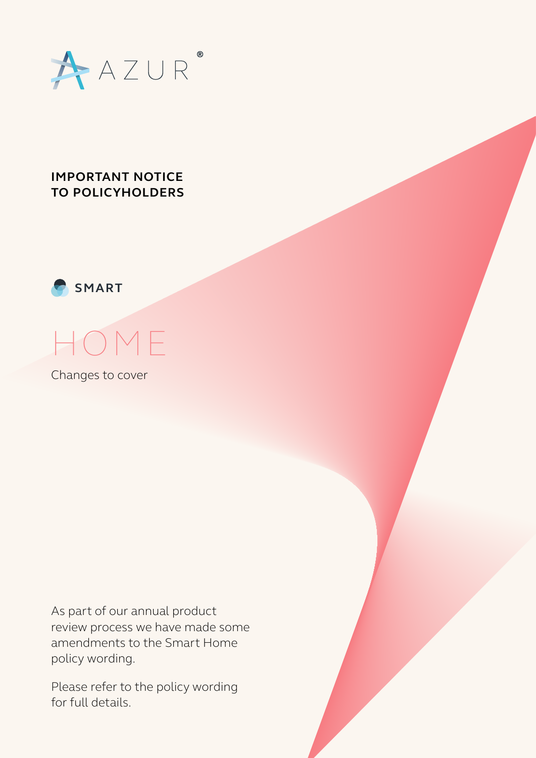

## **IMPORTANT NOTICE TO POLICYHOLDERS**





Changes to cover

As part of our annual product review process we have made some amendments to the Smart Home policy wording.

Please refer to the policy wording for full details.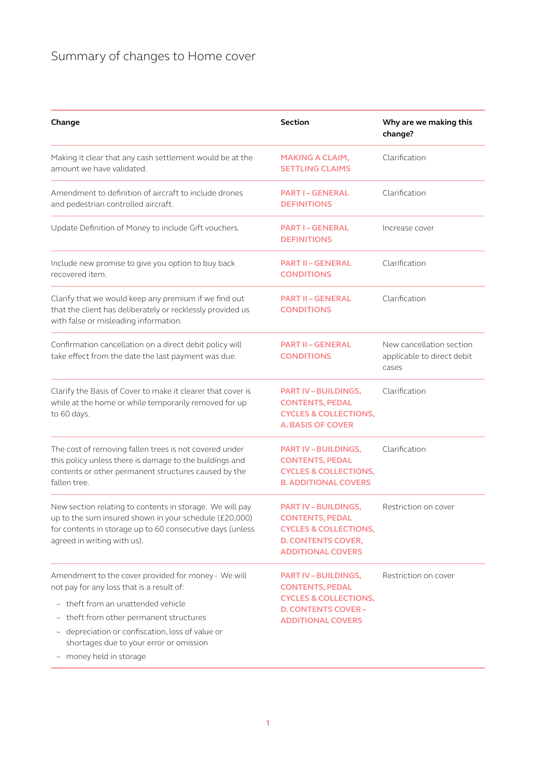## Summary of changes to Home cover

| Change                                                                                                                                                                                                                                                                                                                                                        | <b>Section</b>                                                                                                                                    | Why are we making this<br>change?                               |
|---------------------------------------------------------------------------------------------------------------------------------------------------------------------------------------------------------------------------------------------------------------------------------------------------------------------------------------------------------------|---------------------------------------------------------------------------------------------------------------------------------------------------|-----------------------------------------------------------------|
| Making it clear that any cash settlement would be at the<br>amount we have validated.                                                                                                                                                                                                                                                                         | <b>MAKING A CLAIM,</b><br><b>SETTLING CLAIMS</b>                                                                                                  | Clarification                                                   |
| Amendment to definition of aircraft to include drones<br>and pedestrian controlled aircraft.                                                                                                                                                                                                                                                                  | <b>PART I-GENERAL</b><br><b>DEFINITIONS</b>                                                                                                       | Clarification                                                   |
| Update Definition of Money to include Gift vouchers.                                                                                                                                                                                                                                                                                                          | <b>PART I-GENERAL</b><br><b>DEFINITIONS</b>                                                                                                       | Increase cover                                                  |
| Include new promise to give you option to buy back<br>recovered item.                                                                                                                                                                                                                                                                                         | <b>PART II - GENERAL</b><br><b>CONDITIONS</b>                                                                                                     | Clarification                                                   |
| Clarify that we would keep any premium if we find out<br>that the client has deliberately or recklessly provided us<br>with false or misleading information.                                                                                                                                                                                                  | <b>PART II - GENERAL</b><br><b>CONDITIONS</b>                                                                                                     | Clarification                                                   |
| Confirmation cancellation on a direct debit policy will<br>take effect from the date the last payment was due.                                                                                                                                                                                                                                                | <b>PART II - GENERAL</b><br><b>CONDITIONS</b>                                                                                                     | New cancellation section<br>applicable to direct debit<br>cases |
| Clarify the Basis of Cover to make it clearer that cover is<br>while at the home or while temporarily removed for up<br>to 60 days.                                                                                                                                                                                                                           | <b>PART IV - BUILDINGS,</b><br><b>CONTENTS, PEDAL</b><br><b>CYCLES &amp; COLLECTIONS,</b><br><b>A. BASIS OF COVER</b>                             | Clarification                                                   |
| The cost of removing fallen trees is not covered under<br>this policy unless there is damage to the buildings and<br>contents or other permanent structures caused by the<br>fallen tree.                                                                                                                                                                     | <b>PART IV-BUILDINGS,</b><br><b>CONTENTS, PEDAL</b><br><b>CYCLES &amp; COLLECTIONS,</b><br><b>B. ADDITIONAL COVERS</b>                            | Clarification                                                   |
| New section relating to contents in storage. We will pay<br>up to the sum insured shown in your schedule (£20,000)<br>for contents in storage up to 60 consecutive days (unless<br>agreed in writing with us).                                                                                                                                                | <b>PART IV-BUILDINGS,</b><br><b>CONTENTS, PEDAL</b><br><b>CYCLES &amp; COLLECTIONS,</b><br><b>D. CONTENTS COVER,</b><br><b>ADDITIONAL COVERS</b>  | Restriction on cover                                            |
| Amendment to the cover provided for money - We will<br>not pay for any loss that is a result of:<br>- theft from an unattended vehicle<br>theft from other permanent structures<br>$\overline{\phantom{a}}$<br>depreciation or confiscation, loss of value or<br>shortages due to your error or omission<br>money held in storage<br>$\overline{\phantom{a}}$ | <b>PART IV-BUILDINGS,</b><br><b>CONTENTS, PEDAL</b><br><b>CYCLES &amp; COLLECTIONS,</b><br><b>D. CONTENTS COVER -</b><br><b>ADDITIONAL COVERS</b> | Restriction on cover                                            |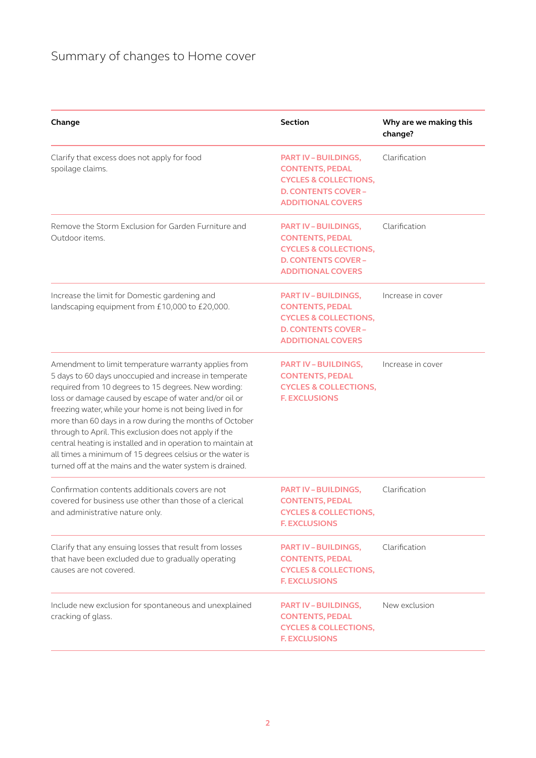## Summary of changes to Home cover

| Change                                                                                                                                                                                                                                                                                                                                                                                                                                                                                                                                                                                                      | <b>Section</b>                                                                                                                                    | Why are we making this<br>change? |
|-------------------------------------------------------------------------------------------------------------------------------------------------------------------------------------------------------------------------------------------------------------------------------------------------------------------------------------------------------------------------------------------------------------------------------------------------------------------------------------------------------------------------------------------------------------------------------------------------------------|---------------------------------------------------------------------------------------------------------------------------------------------------|-----------------------------------|
| Clarify that excess does not apply for food<br>spoilage claims.                                                                                                                                                                                                                                                                                                                                                                                                                                                                                                                                             | <b>PART IV-BUILDINGS,</b><br><b>CONTENTS, PEDAL</b><br><b>CYCLES &amp; COLLECTIONS,</b><br><b>D. CONTENTS COVER -</b><br><b>ADDITIONAL COVERS</b> | Clarification                     |
| Remove the Storm Exclusion for Garden Furniture and<br>Outdoor items.                                                                                                                                                                                                                                                                                                                                                                                                                                                                                                                                       | <b>PART IV-BUILDINGS,</b><br><b>CONTENTS, PEDAL</b><br><b>CYCLES &amp; COLLECTIONS,</b><br><b>D. CONTENTS COVER -</b><br><b>ADDITIONAL COVERS</b> | Clarification                     |
| Increase the limit for Domestic gardening and<br>landscaping equipment from £10,000 to £20,000.                                                                                                                                                                                                                                                                                                                                                                                                                                                                                                             | <b>PART IV-BUILDINGS,</b><br><b>CONTENTS, PEDAL</b><br><b>CYCLES &amp; COLLECTIONS,</b><br><b>D. CONTENTS COVER -</b><br><b>ADDITIONAL COVERS</b> | Increase in cover                 |
| Amendment to limit temperature warranty applies from<br>5 days to 60 days unoccupied and increase in temperate<br>required from 10 degrees to 15 degrees. New wording:<br>loss or damage caused by escape of water and/or oil or<br>freezing water, while your home is not being lived in for<br>more than 60 days in a row during the months of October<br>through to April. This exclusion does not apply if the<br>central heating is installed and in operation to maintain at<br>all times a minimum of 15 degrees celsius or the water is<br>turned off at the mains and the water system is drained. | <b>PART IV - BUILDINGS,</b><br><b>CONTENTS, PEDAL</b><br><b>CYCLES &amp; COLLECTIONS,</b><br><b>F. EXCLUSIONS</b>                                 | Increase in cover                 |
| Confirmation contents additionals covers are not<br>covered for business use other than those of a clerical<br>and administrative nature only.                                                                                                                                                                                                                                                                                                                                                                                                                                                              | <b>PART IV-BUILDINGS,</b><br><b>CONTENTS, PEDAL</b><br><b>CYCLES &amp; COLLECTIONS,</b><br><b>F. EXCLUSIONS</b>                                   | Clarification                     |
| Clarify that any ensuing losses that result from losses<br>that have been excluded due to gradually operating<br>causes are not covered.                                                                                                                                                                                                                                                                                                                                                                                                                                                                    | <b>PART IV-BUILDINGS,</b><br><b>CONTENTS, PEDAL</b><br><b>CYCLES &amp; COLLECTIONS,</b><br><b>F. EXCLUSIONS</b>                                   | Clarification                     |
| Include new exclusion for spontaneous and unexplained<br>cracking of glass.                                                                                                                                                                                                                                                                                                                                                                                                                                                                                                                                 | <b>PART IV-BUILDINGS,</b><br><b>CONTENTS, PEDAL</b><br><b>CYCLES &amp; COLLECTIONS,</b><br><b>F. EXCLUSIONS</b>                                   | New exclusion                     |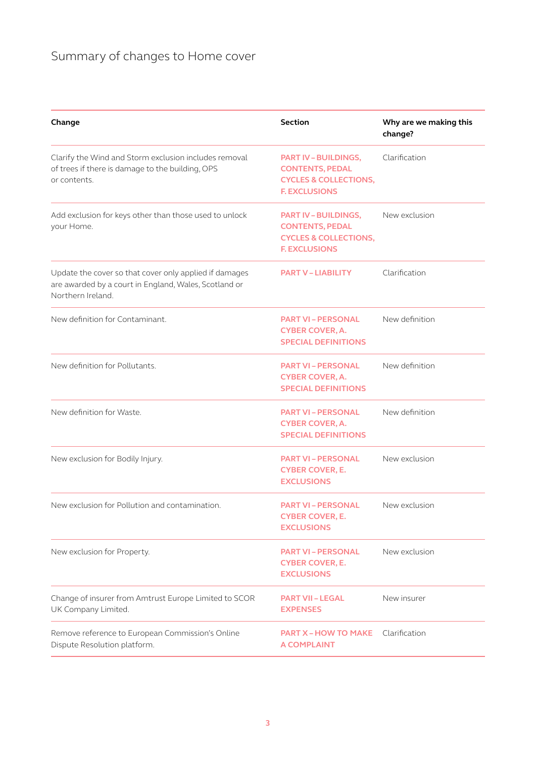## Summary of changes to Home cover

| Change                                                                                                                               | <b>Section</b>                                                                                                  | Why are we making this<br>change? |
|--------------------------------------------------------------------------------------------------------------------------------------|-----------------------------------------------------------------------------------------------------------------|-----------------------------------|
| Clarify the Wind and Storm exclusion includes removal<br>of trees if there is damage to the building, OPS<br>or contents.            | <b>PART IV-BUILDINGS,</b><br><b>CONTENTS, PEDAL</b><br><b>CYCLES &amp; COLLECTIONS,</b><br><b>F. EXCLUSIONS</b> | Clarification                     |
| Add exclusion for keys other than those used to unlock<br>your Home.                                                                 | <b>PART IV-BUILDINGS,</b><br><b>CONTENTS, PEDAL</b><br><b>CYCLES &amp; COLLECTIONS,</b><br><b>F. EXCLUSIONS</b> | New exclusion                     |
| Update the cover so that cover only applied if damages<br>are awarded by a court in England, Wales, Scotland or<br>Northern Ireland. | <b>PART V-LIABILITY</b>                                                                                         | Clarification                     |
| New definition for Contaminant.                                                                                                      | <b>PART VI - PERSONAL</b><br><b>CYBER COVER, A.</b><br><b>SPECIAL DEFINITIONS</b>                               | New definition                    |
| New definition for Pollutants.                                                                                                       | <b>PART VI - PERSONAL</b><br><b>CYBER COVER, A.</b><br><b>SPECIAL DEFINITIONS</b>                               | New definition                    |
| New definition for Waste.                                                                                                            | <b>PART VI - PERSONAL</b><br><b>CYBER COVER, A.</b><br><b>SPECIAL DEFINITIONS</b>                               | New definition                    |
| New exclusion for Bodily Injury.                                                                                                     | <b>PART VI-PERSONAL</b><br><b>CYBER COVER, E.</b><br><b>EXCLUSIONS</b>                                          | New exclusion                     |
| New exclusion for Pollution and contamination.                                                                                       | <b>PART VI-PERSONAL</b><br><b>CYBER COVER, E.</b><br><b>EXCLUSIONS</b>                                          | New exclusion                     |
| New exclusion for Property.                                                                                                          | <b>PART VI-PERSONAL</b><br><b>CYBER COVER, E.</b><br><b>EXCLUSIONS</b>                                          | New exclusion                     |
| Change of insurer from Amtrust Europe Limited to SCOR<br>UK Company Limited.                                                         | <b>PART VII - LEGAL</b><br><b>EXPENSES</b>                                                                      | New insurer                       |
| Remove reference to European Commission's Online<br>Dispute Resolution platform.                                                     | <b>PART X – HOW TO MAKE</b><br><b>A COMPLAINT</b>                                                               | Clarification                     |